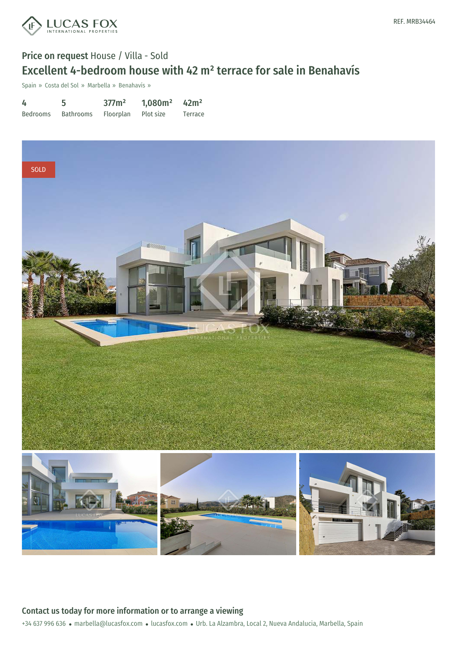

# Price on request House / Villa - Sold Excellent 4-bedroom house with 42 m² terrace for sale in Benahavís

Spain » Costa del Sol » Marbella » Benahavís »

4 Bedrooms 5 Bathrooms 377m² Floorplan 1,080m² Plot size 42m² Terrace



### Contact us today for more information or to arrange a viewing

+34 637 996 636 · marbella@lucasfox.com · lucasfox.com · Urb. La Alzambra, Local 2, Nueva Andalucia, Marbella, Spain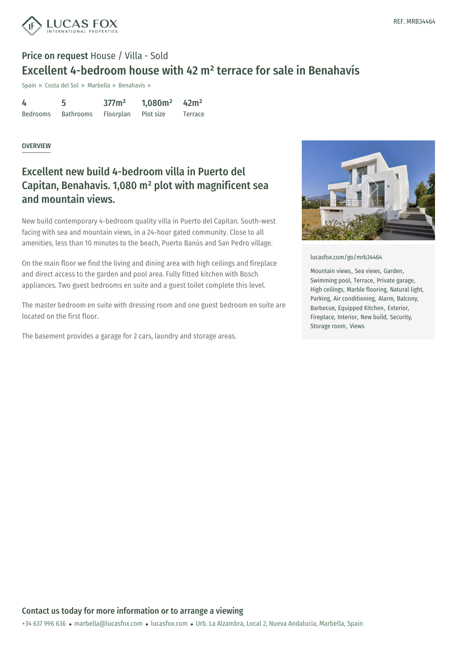

# Price on request House / Villa - Sold Excellent 4-bedroom house with 42 m² terrace for sale in Benahavís

Spain » Costa del Sol » Marbella » Benahavís »

| 4               |                  | 377m <sup>2</sup> | 1,080m <sup>2</sup> | 42m <sup>2</sup> |
|-----------------|------------------|-------------------|---------------------|------------------|
| <b>Bedrooms</b> | <b>Bathrooms</b> | Floorplan         | Plot size           | Terrace          |

#### OVERVIEW

## Excellent new build 4-bedroom villa in Puerto del Capitan, Benahavis. 1,080 m² plot with magnificent sea and mountain views.

New build contemporary 4-bedroom quality villa in Puerto del Capitan. South-west facing with sea and mountain views, in a 24-hour gated community. Close to all amenities, less than 10 minutes to the beach, Puerto Banús and San Pedro village.

On the main floor we find the living and dining area with high ceilings and fireplace and direct access to the garden and pool area. Fully fitted kitchen with Bosch appliances. Two guest bedrooms en suite and a guest toilet complete this level.

The master bedroom en suite with dressing room and one guest bedroom en suite are located on the first floor.

The basement provides a garage for 2 cars, laundry and storage areas.



[lucasfox.com/go/mrb34464](https://www.lucasfox.com/go/mrb34464)

Mountain views, Sea views, Garden, Swimming pool, Terrace, Private garage, High ceilings, Marble flooring, Natural light, Parking, Air conditioning, Alarm, Balcony, Barbecue, Equipped Kitchen, Exterior, Fireplace, Interior, New build, Security, Storage room, Views